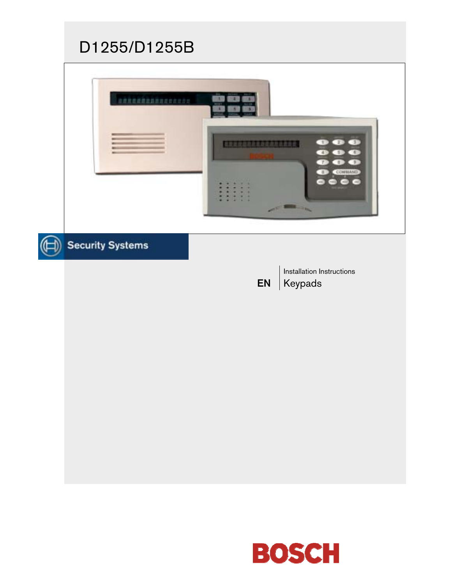# D1255/D1255B



# Security Systems

EN

Installation Instructions Keypads

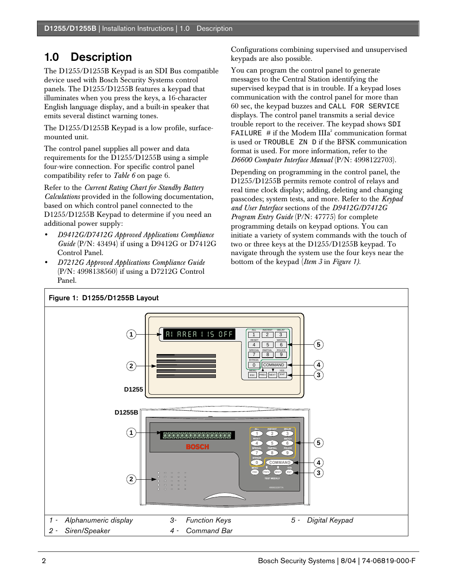## 1.0 Description

The D1255/D1255B Keypad is an SDI Bus compatible device used with Bosch Security Systems control panels. The D1255/D1255B features a keypad that illuminates when you press the keys, a 16-character English language display, and a built-in speaker that emits several distinct warning tones.

The D1255/D1255B Keypad is a low profile, surfacemounted unit.

The control panel supplies all power and data requirements for the D1255/D1255B using a simple four-wire connection. For specific control panel compatibility refer to *Table 6* on page 6.

Refer to the *Current Rating Chart for Standby Battery Calculations* provided in the following documentation, based on which control panel connected to the D1255/D1255B Keypad to determine if you need an additional power supply:

- *D9412G/D7412G Approved Applications Compliance Guide* (P/N: 43494) if using a D9412G or D7412G Control Panel.
- *D7212G Approved Applications Compliance Guide* (P/N: 4998138560) if using a D7212G Control Panel.

Configurations combining supervised and unsupervised keypads are also possible.

You can program the control panel to generate messages to the Central Station identifying the supervised keypad that is in trouble. If a keypad loses communication with the control panel for more than 60 sec, the keypad buzzes and CALL FOR SERVICE displays. The control panel transmits a serial device trouble report to the receiver. The keypad shows SDI FAILURE  $\#$  if the Modem IIIa<sup>2</sup> communication format is used or TROUBLE ZN D if the BFSK communication format is used. For more information, refer to the *D6600 Computer Interface Manual* (P/N: 4998122703).

Depending on programming in the control panel, the D1255/D1255B permits remote control of relays and real time clock display; adding, deleting and changing passcodes; system tests, and more. Refer to the *Keypad and User Interface* sections of the *D9412G/D7412G Program Entry Guide* (P/N: 47775) for complete programming details on keypad options. You can initiate a variety of system commands with the touch of two or three keys at the D1255/D1255B keypad. To navigate through the system use the four keys near the bottom of the keypad (*Item 3* in *Figure 1)*.

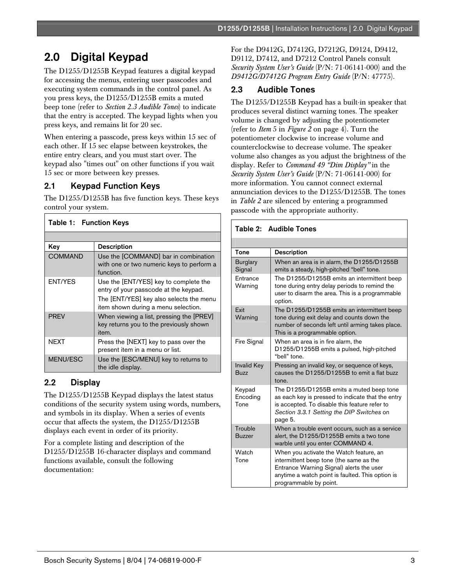# 2.0 Digital Keypad

The D1255/D1255B Keypad features a digital keypad for accessing the menus, entering user passcodes and executing system commands in the control panel. As you press keys, the D1255/D1255B emits a muted beep tone (refer to *Section 2.3 Audible Tones*) to indicate that the entry is accepted. The keypad lights when you press keys, and remains lit for 20 sec.

When entering a passcode, press keys within 15 sec of each other. If 15 sec elapse between keystrokes, the entire entry clears, and you must start over. The keypad also "times out" on other functions if you wait 15 sec or more between key presses.

### 2.1 Keypad Function Keys

The D1255/D1255B has five function keys. These keys control your system.

| Table 1: Function Keys |                                                                                                                                                                  |  |
|------------------------|------------------------------------------------------------------------------------------------------------------------------------------------------------------|--|
|                        |                                                                                                                                                                  |  |
| Kev                    | <b>Description</b>                                                                                                                                               |  |
| <b>COMMAND</b>         | Use the [COMMAND] bar in combination<br>with one or two numeric keys to perform a<br>function.                                                                   |  |
| <b>ENT/YES</b>         | Use the [ENT/YES] key to complete the<br>entry of your passcode at the keypad.<br>The [ENT/YES] key also selects the menu<br>item shown during a menu selection. |  |
| <b>PRFV</b>            | When viewing a list, pressing the [PREV]<br>key returns you to the previously shown<br>item.                                                                     |  |
| <b>NEXT</b>            | Press the [NEXT] key to pass over the<br>present item in a menu or list.                                                                                         |  |
| <b>MENU/ESC</b>        | Use the [ESC/MENU] key to returns to<br>the idle display.                                                                                                        |  |

### 2.2 Display

Г

The D1255/D1255B Keypad displays the latest status conditions of the security system using words, numbers, and symbols in its display. When a series of events occur that affects the system, the D1255/D1255B displays each event in order of its priority.

For a complete listing and description of the D1255/D1255B 16-character displays and command functions available, consult the following documentation:

For the D9412G, D7412G, D7212G, D9124, D9412, D9112, D7412, and D7212 Control Panels consult *Security System User's Guide* (P/N: 71-06141-000) and the *D9412G/D7412G Program Entry Guide* (P/N: 47775).

### 2.3 Audible Tones

The D1255/D1255B Keypad has a built-in speaker that produces several distinct warning tones. The speaker volume is changed by adjusting the potentiometer (refer to *Item* 5 in *Figure 2* on page 4). Turn the potentiometer clockwise to increase volume and counterclockwise to decrease volume. The speaker volume also changes as you adjust the brightness of the display. Refer to *Command 49 "Dim Display"* in the *Security System User's Guide* (P/N: 71-06141-000) for more information. You cannot connect external annunciation devices to the D1255/D1255B. The tones in *Table 2* are silenced by entering a programmed passcode with the appropriate authority.

| Table 2: Audible Tones            |                                                                                                                                                                                                              |  |
|-----------------------------------|--------------------------------------------------------------------------------------------------------------------------------------------------------------------------------------------------------------|--|
|                                   |                                                                                                                                                                                                              |  |
| Tone                              | <b>Description</b>                                                                                                                                                                                           |  |
| <b>Burglary</b><br>Signal         | When an area is in alarm, the D1255/D1255B<br>emits a steady, high-pitched "bell" tone.                                                                                                                      |  |
| Entrance<br>Warning               | The D1255/D1255B emits an intermittent beep<br>tone during entry delay periods to remind the<br>user to disarm the area. This is a programmable<br>option.                                                   |  |
| Fxit<br>Warning                   | The D1255/D1255B emits an intermittent beep<br>tone during exit delay and counts down the<br>number of seconds left until arming takes place.<br>This is a programmable option.                              |  |
| Fire Signal                       | When an area is in fire alarm, the<br>D1255/D1255B emits a pulsed, high-pitched<br>"bell" tone.                                                                                                              |  |
| <b>Invalid Key</b><br><b>Buzz</b> | Pressing an invalid key, or sequence of keys,<br>causes the D1255/D1255B to emit a flat buzz<br>tone.                                                                                                        |  |
| Keypad<br>Encoding<br>Tone        | The D1255/D1255B emits a muted beep tone<br>as each key is pressed to indicate that the entry<br>is accepted. To disable this feature refer to<br>Section 3.3.1 Setting the DIP Switches on<br>page 5.       |  |
| Trouble<br><b>Buzzer</b>          | When a trouble event occurs, such as a service<br>alert, the D1255/D1255B emits a two tone<br>warble until you enter COMMAND 4.                                                                              |  |
| Watch<br>Tone                     | When you activate the Watch feature, an<br>intermittent beep tone (the same as the<br>Entrance Warning Signal) alerts the user<br>anytime a watch point is faulted. This option is<br>programmable by point. |  |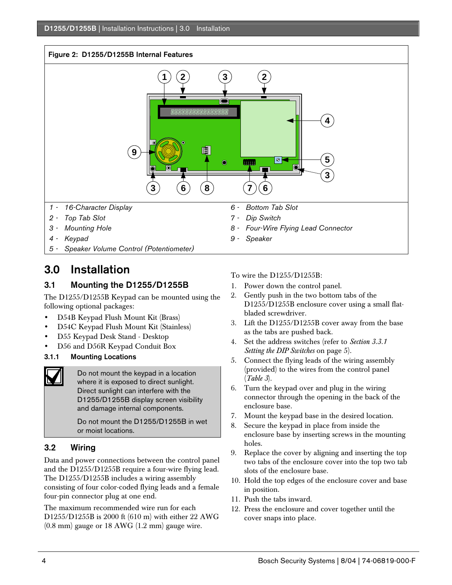#### Figure 2: D1255/D1255B Internal Features



### 3.0 Installation

### 3.1 Mounting the D1255/D1255B

The D1255/D1255B Keypad can be mounted using the following optional packages:

- D54B Keypad Flush Mount Kit (Brass)
- D54C Keypad Flush Mount Kit (Stainless)
- D55 Keypad Desk Stand Desktop
- D56 and D56R Keypad Conduit Box
- 3.1.1 Mounting Locations



Do not mount the keypad in a location where it is exposed to direct sunlight. Direct sunlight can interfere with the D1255/D1255B display screen visibility and damage internal components.

Do not mount the D1255/D1255B in wet or moist locations.

### 3.2 Wiring

Data and power connections between the control panel and the D1255/D1255B require a four-wire flying lead. The D1255/D1255B includes a wiring assembly consisting of four color-coded flying leads and a female four-pin connector plug at one end.

The maximum recommended wire run for each D1255/D1255B is 2000 ft (610 m) with either 22 AWG (0.8 mm) gauge or 18 AWG (1.2 mm) gauge wire.

To wire the D1255/D1255B:

- 1. Power down the control panel.
- 2. Gently push in the two bottom tabs of the D1255/D1255B enclosure cover using a small flatbladed screwdriver.
- 3. Lift the D1255/D1255B cover away from the base as the tabs are pushed back.
- 4. Set the address switches (refer to *Section 3.3.1 Setting the DIP Switches* on page 5).
- 5. Connect the flying leads of the wiring assembly (provided) to the wires from the control panel (*Table 3*).
- 6. Turn the keypad over and plug in the wiring connector through the opening in the back of the enclosure base.
- 7. Mount the keypad base in the desired location.
- 8. Secure the keypad in place from inside the enclosure base by inserting screws in the mounting holes.
- 9. Replace the cover by aligning and inserting the top two tabs of the enclosure cover into the top two tab slots of the enclosure base.
- 10. Hold the top edges of the enclosure cover and base in position.
- 11. Push the tabs inward.
- 12. Press the enclosure and cover together until the cover snaps into place.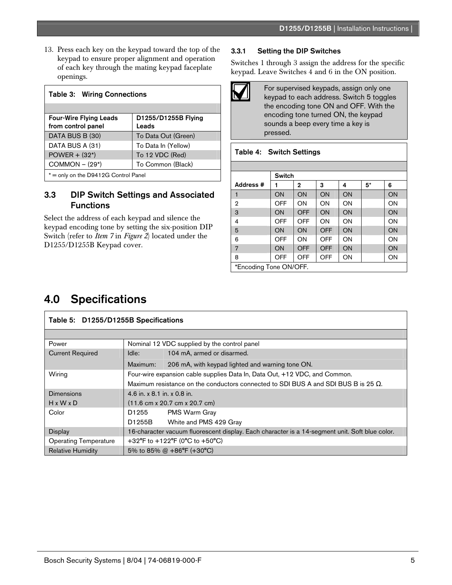13. Press each key on the keypad toward the top of the keypad to ensure proper alignment and operation of each key through the mating keypad faceplate openings.

| <b>Table 3: Wiring Connections</b>                  |                              |  |  |
|-----------------------------------------------------|------------------------------|--|--|
|                                                     |                              |  |  |
| <b>Four-Wire Flying Leads</b><br>from control panel | D1255/D1255B Flying<br>Leads |  |  |
| DATA BUS B (30)                                     | To Data Out (Green)          |  |  |
| DATA BUS A (31)                                     | To Data In (Yellow)          |  |  |
| $POWER + (32*)$                                     | To 12 VDC (Red)              |  |  |
| $COMMON - (29*)$<br>To Common (Black)               |                              |  |  |
| * = only on the D9412G Control Panel                |                              |  |  |

### 3.3 DIP Switch Settings and Associated Functions

Select the address of each keypad and silence the keypad encoding tone by setting the six-position DIP Switch (refer to *Item 7* in *Figure 2*) located under the D1255/D1255B Keypad cover.

### 3.3.1 Setting the DIP Switches

Switches 1 through 3 assign the address for the specific keypad. Leave Switches 4 and 6 in the ON position.



For supervised keypads, assign only one keypad to each address. Switch 5 toggles the encoding tone ON and OFF. With the encoding tone turned ON, the keypad sounds a beep every time a key is pressed.

### Table 4: Switch Settings

|                        | Switch |              |            |    |    |    |
|------------------------|--------|--------------|------------|----|----|----|
| Address #              |        | $\mathbf{2}$ | 3          | 4  | 5* | 6  |
| 1                      | ON     | ON           | ON         | ON |    | ON |
| 2                      | OFF    | OΝ           | ON         | ON |    | ON |
| 3                      | ON     | OFF          | ON         | ON |    | ON |
| 4                      | OFF    | OFF          | ON         | ON |    | ON |
| 5                      | ON     | ON           | <b>OFF</b> | ON |    | ON |
| 6                      | OFF    | <b>ON</b>    | OFF        | ON |    | ON |
| 7                      | ON     | <b>OFF</b>   | <b>OFF</b> | ON |    | ON |
| 8                      | OFF    | OFF          | OFF        | ON |    | ON |
| *Encoding Tone ON/OFF. |        |              |            |    |    |    |

### 4.0 Specifications

| Table 5: D1255/D1255B Specifications |                                                                                                |                                                  |  |
|--------------------------------------|------------------------------------------------------------------------------------------------|--------------------------------------------------|--|
|                                      |                                                                                                |                                                  |  |
| Power                                | Nominal 12 VDC supplied by the control panel                                                   |                                                  |  |
| <b>Current Required</b>              | Idle:                                                                                          | 104 mA, armed or disarmed.                       |  |
|                                      | Maximum:                                                                                       | 206 mA, with keypad lighted and warning tone ON. |  |
| Wiring                               | Four-wire expansion cable supplies Data In, Data Out, +12 VDC, and Common.                     |                                                  |  |
|                                      | Maximum resistance on the conductors connected to SDI BUS A and SDI BUS B is 25 $\Omega$ .     |                                                  |  |
| Dimensions                           | 4.6 in. x 8.1 in. x 0.8 in.                                                                    |                                                  |  |
| $H \times W \times D$                | $(11.6 \text{ cm} \times 20.7 \text{ cm} \times 20.7 \text{ cm})$                              |                                                  |  |
| Color                                | D1255                                                                                          | <b>PMS Warm Gray</b>                             |  |
|                                      | D1255B                                                                                         | White and PMS 429 Gray                           |  |
| <b>Display</b>                       | 16-character vacuum fluorescent display. Each character is a 14-segment unit. Soft blue color. |                                                  |  |
| <b>Operating Temperature</b>         | +32°F to +122°F (0°C to +50°C)                                                                 |                                                  |  |
| <b>Relative Humidity</b>             | 5% to 85% @ $+86^{\circ}F$ ( $+30^{\circ}C$ )                                                  |                                                  |  |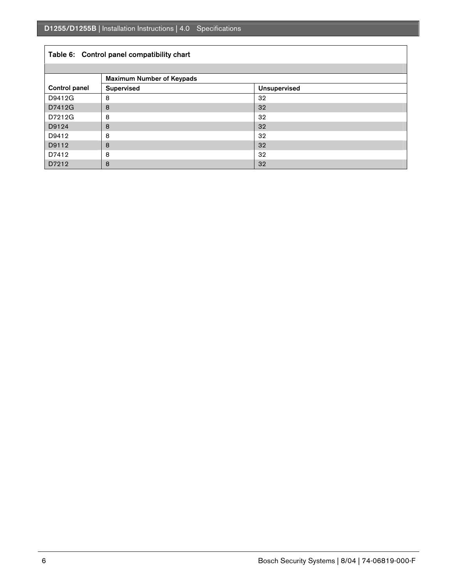### Table 6: Control panel compatibility chart

|                      | <b>Maximum Number of Keypads</b> |                     |  |
|----------------------|----------------------------------|---------------------|--|
| <b>Control panel</b> | <b>Supervised</b>                | <b>Unsupervised</b> |  |
| D9412G               | 8                                | 32                  |  |
| D7412G               | 8                                | 32                  |  |
| D7212G               | 8                                | 32                  |  |
| D9124                | 8                                | 32                  |  |
| D9412                | 8                                | 32                  |  |
| D9112                | 8                                | 32                  |  |
| D7412                | 8                                | 32                  |  |
| D7212                | 8                                | 32                  |  |